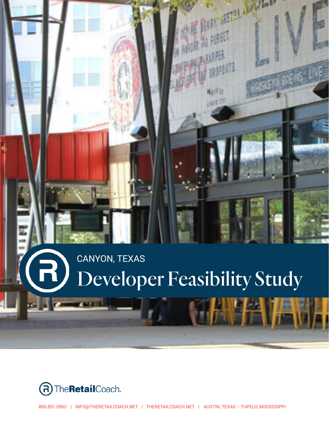## CANYON, TEXAS $\bigoplus$ Developer Feasibility Study

**THE REAL PROPERTY AND** 

电线 调理



800.851.0962 | INFO@THERETAILCOACH.NET | THERETAILCOACH.NET | AUSTIN, TEXAS • TUPELO, MISSISSIPPI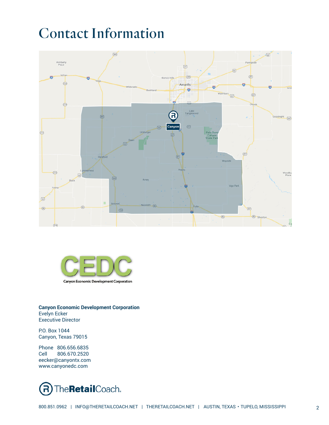# Contact Information





**Canyon Economic Development Corporation** Evelyn Ecker Executive Director

P.O. Box 1044 Canyon, Texas 79015

Phone 806.656.6835<br>Cell 806.670.2520 Cell 806.670.2520 eecker@canyontx.com www.canyonedc.com

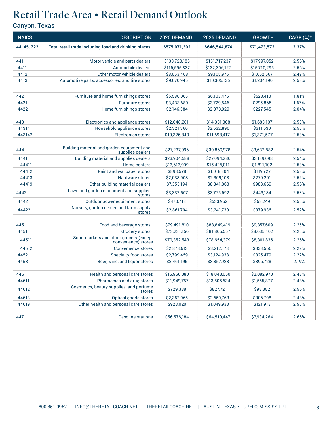### Retail Trade Area • Retail Demand Outlook

| <b>NAICS</b> | <b>DESCRIPTION</b>                                             | 2020 DEMAND   | 2025 DEMAND   | <b>GROWTH</b> | CAGR (%)* |
|--------------|----------------------------------------------------------------|---------------|---------------|---------------|-----------|
| 44, 45, 722  | Total retail trade including food and drinking places          | \$575,071,302 | \$646,544,874 | \$71,473,572  | 2.37%     |
|              |                                                                |               |               |               |           |
| 441          | Motor vehicle and parts dealers                                | \$133,720,185 | \$151,717,237 | \$17,997,052  | 2.56%     |
| 4411         | Automobile dealers                                             | \$116,595,832 | \$132,306,127 | \$15,710,295  | 2.56%     |
| 4412         | Other motor vehicle dealers                                    | \$8,053,408   | \$9,105,975   | \$1,052,567   | 2.49%     |
| 4413         | Automotive parts, accessories, and tire stores                 | \$9,070,945   | \$10,305,135  | \$1,234,190   | 2.58%     |
|              |                                                                |               |               |               |           |
| 442          | Furniture and home furnishings stores                          | \$5,580,065   | \$6,103,475   | \$523,410     | 1.81%     |
| 4421         | <b>Furniture stores</b>                                        | \$3,433,680   | \$3,729,546   | \$295,865     | 1.67%     |
| 4422         | Home furnishings stores                                        | \$2,146,384   | \$2,373,929   | \$227,545     | 2.04%     |
|              |                                                                |               |               |               |           |
| 443          | Electronics and appliance stores                               | \$12,648,201  | \$14,331,308  | \$1,683,107   | 2.53%     |
| 443141       | Household appliance stores                                     | \$2,321,360   | \$2,632,890   | \$311,530     | 2.55%     |
| 443142       | <b>Electronics stores</b>                                      | \$10,326,840  | \$11,698,417  | \$1,371,577   | 2.53%     |
|              |                                                                |               |               |               |           |
| 444          | Building material and garden equipment and<br>supplies dealers | \$27,237,096  | \$30,869,978  | \$3,632,882   | 2.54%     |
| 4441         | Building material and supplies dealers                         | \$23,904.588  | \$27,094,286  | \$3,189,698   | 2.54%     |
| 44411        | Home centers                                                   | \$13,613,909  | \$15,425,011  | \$1,811,102   | 2.53%     |
| 44412        | Paint and wallpaper stores                                     | \$898,578     | \$1,018,304   | \$119,727     | 2.53%     |
| 44413        | Hardware stores                                                | \$2,038,908   | \$2,309,108   | \$270,201     | 2.52%     |
| 44419        | Other building material dealers                                | \$7,353,194   | \$8,341,863   | \$988,669     | 2.56%     |
| 4442         | Lawn and garden equipment and supplies<br>stores               | \$3,332,507   | \$3,775,692   | \$443,184     | 2.53%     |
| 44421        | Outdoor power equipment stores                                 | \$470,713     | \$533,962     | \$63,249      | 2.55%     |
| 44422        | Nursery, garden center, and farm supply<br>stores              | \$2,861,794   | \$3,241,730   | \$379,936     | 2.52%     |
|              |                                                                |               |               |               |           |
| 445          | Food and beverage stores                                       | \$79,491,810  | \$88,849,419  | \$9,357,609   | 2.25%     |
| 4451         | <b>Grocery stores</b>                                          | \$73,231,156  | \$81,866,557  | \$8,635,402   | 2.25%     |
| 44511        | Supermarkets and other grocery (except<br>convenience) stores  | \$70,352,543  | \$78,654,379  | \$8,301,836   | 2.26%     |
| 44512        | <b>Convenience stores</b>                                      | \$2,878,613   | \$3,212,178   | \$333,566     | 2.22%     |
| 4452         | <b>Specialty food stores</b>                                   | \$2,799,459   | \$3,124,938   | \$325,479     | 2.22%     |
| 4453         | Beer, wine, and liquor stores                                  | \$3,461,195   | \$3,857,923   | \$396,728     | 2.19%     |
|              |                                                                |               |               |               |           |
| 446          | Health and personal care stores                                | \$15,960,080  | \$18,043,050  | \$2,082,970   | 2.48%     |
| 44611        | Pharmacies and drug stores                                     | \$11,949,757  | \$13,505,634  | \$1,555,877   | 2.48%     |
| 44612        | Cosmetics, beauty supplies, and perfume<br>stores              | \$729,338     | \$827,721     | \$98,382      | 2.56%     |
| 44613        | Optical goods stores                                           | \$2,352,965   | \$2,659,763   | \$306,798     | 2.48%     |
| 44619        | Other health and personal care stores                          | \$928,020     | \$1,049,933   | \$121,913     | 2.50%     |
| 447          | <b>Gasoline stations</b>                                       | \$56,576,184  | \$64,510,447  | \$7,934,264   | 2.66%     |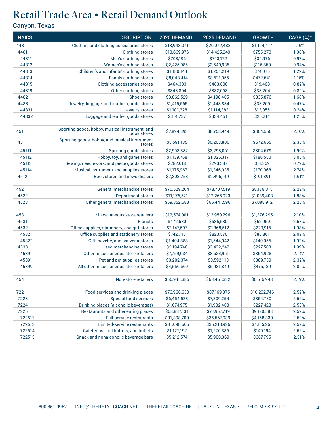### Retail Trade Area • Retail Demand Outlook

| <b>NAICS</b> | <b>DESCRIPTION</b>                                            | 2020 DEMAND  | 2025 DEMAND  | <b>GROWTH</b> | CAGR (%)* |
|--------------|---------------------------------------------------------------|--------------|--------------|---------------|-----------|
| 448          | Clothing and clothing accessories stores                      | \$18,948,071 | \$20,072,488 | \$1,124,417   | 1.16%     |
| 4481         | <b>Clothing stores</b>                                        | \$13,669,976 | \$14,425,249 | \$755,273     | 1.08%     |
| 44811        | Men's clothing stores                                         | \$708,196    | \$743,172    | \$34,976      | 0.97%     |
| 44812        | Women's clothing stores                                       | \$2,425,085  | \$2,540,935  | \$115,850     | 0.94%     |
| 44813        | Children's and infants' clothing stores                       | \$1,180,144  | \$1,254,219  | \$74,075      | 1.22%     |
| 44814        | Family clothing stores                                        | \$8,048,414  | \$8,521,055  | \$472,641     | 1.15%     |
| 44815        | Clothing accessories stores                                   | \$464,333    | \$483,800    | \$19,468      | 0.82%     |
| 44819        | Other clothing stores                                         | \$843,804    | \$882,068    | \$38,264      | 0.89%     |
| 4482         | Shoe stores                                                   | \$3,862,529  | \$4,198,405  | \$335,876     | 1.68%     |
| 4483         | Jewelry, luggage, and leather goods stores                    | \$1,415,565  | \$1,448,834  | \$33,269      | 0.47%     |
| 44831        | Jewelry stores                                                | \$1,101,328  | \$1,114,383  | \$13,055      | 0.24%     |
| 44832        | Luggage and leather goods stores                              | \$314,237    | \$334,451    | \$20,214      | 1.25%     |
|              |                                                               |              |              |               |           |
| 451          | Sporting goods, hobby, musical instrument, and<br>book stores | \$7,894,393  | \$8,758,949  | \$864,556     | 2.10%     |
| 4511         | Sporting goods, hobby, and musical instrument<br>stores       | \$5,591,135  | \$6,263,800  | \$672,665     | 2.30%     |
| 45111        | Sporting goods stores                                         | \$2,993,382  | \$3,298,061  | \$304,679     | 1.96%     |
| 45112        | Hobby, toy, and game stores                                   | \$1,139,768  | \$1,326,317  | \$186,550     | 3.08%     |
| 45113        | Sewing, needlework, and piece goods stores                    | \$282,018    | \$293,387    | \$11,369      | 0.79%     |
| 45114        | Musical instrument and supplies stores                        | \$1,175,967  | \$1,346,035  | \$170,068     | 2.74%     |
| 4512         | Book stores and news dealers                                  | \$2,303,258  | \$2,495,149  | \$191,891     | 1.61%     |
|              |                                                               |              |              |               |           |
| 452          | General merchandise stores                                    | \$70,529,204 | \$78,707,519 | \$8,178,315   | 2.22%     |
| 4522         | <b>Department stores</b>                                      | \$11,176,521 | \$12,265,923 | \$1,089,403   | 1.88%     |
| 4523         | Other general merchandise stores                              | \$59,352,683 | \$66,441,596 | \$7,088,912   | 2.28%     |
|              |                                                               |              |              |               |           |
| 453          | Miscellaneous store retailers                                 | \$12,574,001 | \$13,950,296 | \$1,376,295   | 2.10%     |
| 4531         | <b>Florists</b>                                               | \$472,630    | \$535,580    | \$62,950      | 2.53%     |
| 4532         | Office supplies, stationery, and gift stores                  | \$2,147,597  | \$2,368,512  | \$220,915     | 1.98%     |
| 45321        | Office supplies and stationery stores                         | \$742,710    | \$823,570    | \$80,861      | 2.09%     |
| 45322        | Gift, novelty, and souvenir stores                            | \$1,404,888  | \$1,544,942  | \$140,055     | 1.92%     |
| 4533         | Used merchandise stores                                       | \$2,194,740  | \$2,422,242  | \$227,503     | 1.99%     |
| 4539         | Other miscellaneous store retailers                           | \$7,759,034  | \$8,623,961  | \$864,928     | 2.14%     |
| 45391        | Pet and pet supplies stores                                   | \$3,202,374  | \$3,592,113  | \$389,739     | 2.32%     |
| 45399        | All other miscellaneous store retailers                       | \$4,556,660  | \$5,031,849  | \$475,189     | 2.00%     |
|              |                                                               |              |              |               |           |
| 454          | Non-store retailers                                           | \$56,945,385 | \$63,461,332 | \$6,515,948   | 2.19%     |
|              |                                                               |              |              |               |           |
| 722          | Food services and drinking places                             | \$76,966,630 | \$87,169,375 | \$10,202,746  | 2.52%     |
| 7223         | <b>Special food services</b>                                  | \$6,454,523  | \$7,309,254  | \$854,730     | 2.52%     |
| 7224         | Drinking places (alcoholic beverages)                         | \$1,674,975  | \$1,902,403  | \$227,428     | 2.58%     |
| 7225         | Restaurants and other eating places                           | \$68,837,131 | \$77,957,719 | \$9,120,588   | 2.52%     |
| 722511       | <b>Full-service restaurants</b>                               | \$31,398,700 | \$35,567,039 | \$4,168,339   | 2.52%     |
| 722513       | Limited-service restaurants                                   | \$31,098,665 | \$35,213,926 | \$4,115,261   | 2.52%     |
| 722514       | Cafeterias, grill buffets, and buffets                        | \$1,127,192  | \$1,276,386  | \$149,194     | 2.52%     |
| 722515       | Snack and nonalcoholic beverage bars                          | \$5,212,574  | \$5,900,369  | \$687,795     | 2.51%     |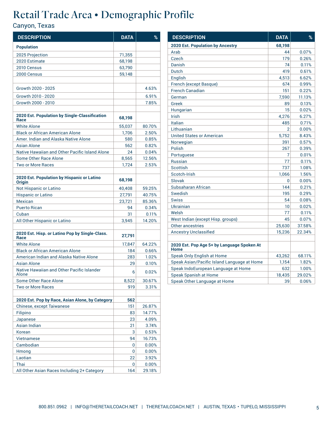| <b>DESCRIPTION</b>                                          | <b>DATA</b> | %      |
|-------------------------------------------------------------|-------------|--------|
| <b>Population</b>                                           |             |        |
| 2025 Projection                                             | 71,355      |        |
| 2020 Estimate                                               | 68,198      |        |
| 2010 Census                                                 | 63,790      |        |
| 2000 Census                                                 | 59,148      |        |
|                                                             |             |        |
| Growth 2020 - 2025                                          |             | 4.63%  |
| Growth 2010 - 2020                                          |             | 6.91%  |
| Growth 2000 - 2010                                          |             | 7.85%  |
|                                                             |             |        |
| 2020 Est. Population by Single-Classification<br>Race       | 68,198      |        |
| <b>White Alone</b>                                          | 55,037      | 80.70% |
| <b>Black or African American Alone</b>                      | 1,706       | 2.50%  |
| Amer, Indian and Alaska Native Alone                        | 580         | 0.85%  |
| Asian Alone                                                 | 562         | 0.82%  |
| Native Hawaiian and Other Pacific Island Alone              | 24          | 0.04%  |
| Some Other Race Alone                                       | 8,565       | 12.56% |
| <b>Two or More Races</b>                                    | 1,724       | 2.53%  |
|                                                             |             |        |
| 2020 Est. Population by Hispanic or Latino<br><b>Origin</b> | 68,198      |        |
| Not Hispanic or Latino                                      | 40,408      | 59.25% |
| <b>Hispanic or Latino</b>                                   | 27,791      | 40.75% |
| Mexican                                                     | 23,721      | 85.36% |
| <b>Puerto Rican</b>                                         | 94          | 0.34%  |
| Cuban                                                       | 31          | 0.11%  |
| All Other Hispanic or Latino                                | 3,945       | 14.20% |
| 2020 Est. Hisp. or Latino Pop by Single-Class.              |             |        |
| Race                                                        | 27,791      |        |
| <b>White Alone</b>                                          | 17,847      | 64.22% |
| <b>Black or African American Alone</b>                      | 184         | 0.66%  |
| American Indian and Alaska Native Alone                     | 283         | 1.02%  |
| Asian Alone                                                 | 29          | 0.10%  |
| Native Hawaiian and Other Pacific Islander<br>Alone         | 6           | 0.02%  |
| Some Other Race Alone                                       | 8,522       | 30.67% |
| <b>Two or More Races</b>                                    | 919         | 3.31%  |
|                                                             |             |        |
| 2020 Est. Pop by Race, Asian Alone, by Category             | 562         |        |
| <b>Chinese, except Taiwanese</b>                            | 151         | 26.87% |
| Filipino                                                    | 83          | 14.77% |
| Japanese                                                    | 23          | 4.09%  |
| Asian Indian                                                | 21          | 3.74%  |
| Korean                                                      | 3           | 0.53%  |
| Vietnamese                                                  | 94          | 16.73% |
| Cambodian                                                   | 0           | 0.00%  |
| Hmong                                                       | 0           | 0.00%  |
| Laotian                                                     | 22          | 3.92%  |
| Thai                                                        | 0           | 0.00%  |
| All Other Asian Races Including 2+ Category                 | 164         | 29.18% |

| <b>DESCRIPTION</b>                                 | <b>DATA</b>    | %      |
|----------------------------------------------------|----------------|--------|
| <b>2020 Est. Population by Ancestry</b>            | 68,198         |        |
| Arab                                               | 44             | 0.07%  |
| Czech                                              | 179            | 0.26%  |
| Danish                                             | 74             | 0.11%  |
| Dutch                                              | 419            | 0.61%  |
| English                                            | 4,513          | 6.62%  |
| French (except Basque)                             | 674            | 0.99%  |
| <b>French Canadian</b>                             | 151            | 0.22%  |
| German                                             | 7,590          | 11.13% |
| Greek                                              | 89             | 0.13%  |
| Hungarian                                          | 15             | 0.02%  |
| <b>Irish</b>                                       | 4,276          | 6.27%  |
| Italian                                            | 485            | 0.71%  |
| Lithuanian                                         | $\overline{2}$ | 0.00%  |
| <b>United States or American</b>                   | 5,752          | 8.43%  |
| Norwegian                                          | 391            | 0.57%  |
| Polish                                             | 267            | 0.39%  |
| Portuguese                                         | 7              | 0.01%  |
| <b>Russian</b>                                     | 77             | 0.11%  |
| Scottish                                           | 737            | 1.08%  |
| Scotch-Irish                                       | 1,066          | 1.56%  |
| Slovak                                             | 0              | 0.00%  |
| Subsaharan African                                 | 144            | 0.21%  |
| Swedish                                            | 195            | 0.29%  |
| <b>Swiss</b>                                       | 54             | 0.08%  |
| Ukrainian                                          | 10             | 0.02%  |
| Welsh                                              | 77             | 0.11%  |
| West Indian (except Hisp. groups)                  | 45             | 0.07%  |
| <b>Other ancestries</b>                            | 25,630         | 37.58% |
| <b>Ancestry Unclassified</b>                       | 15,236         | 22.34% |
|                                                    |                |        |
| 2020 Est. Pop Age 5+ by Language Spoken At<br>Home |                |        |
| Speak Only English at Home                         | 43,262         | 68.11% |
| Speak Asian/Pacific Island Language at Home        | 1,154          | 1.82%  |
| Speak IndoEuropean Language at Home                | 632            | 1.00%  |
| Speak Spanish at Home                              | 18,435         | 29.02% |
| Speak Other Language at Home                       | 39             | 0.06%  |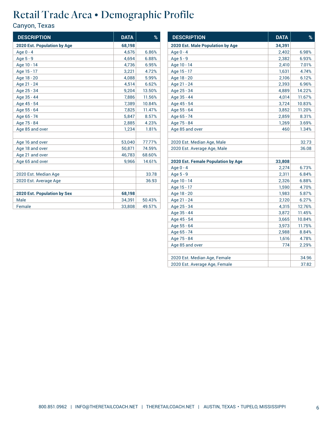| <b>DESCRIPTION</b>                 | <b>DATA</b> | $\%$   |
|------------------------------------|-------------|--------|
| 2020 Est. Population by Age        | 68,198      |        |
| Age 0 - 4                          | 4,676       | 6.86%  |
| Age 5 - 9                          | 4,694       | 6.88%  |
| Age 10 - 14                        | 4,736       | 6.95%  |
| Age 15 - 17                        | 3,221       | 4.72%  |
| Age 18 - 20                        | 4,088       | 5.99%  |
| Age 21 - 24                        | 4,514       | 6.62%  |
| Age 25 - 34                        | 9,204       | 13.50% |
| Age 35 - 44                        | 7,886       | 11.56% |
| Age 45 - 54                        | 7.389       | 10.84% |
| Age 55 - 64                        | 7,825       | 11.47% |
| Age 65 - 74                        | 5,847       | 8.57%  |
| Age 75 - 84                        | 2,885       | 4.23%  |
| Age 85 and over                    | 1,234       | 1.81%  |
|                                    |             |        |
| Age 16 and over                    | 53,040      | 77.77% |
| Age 18 and over                    | 50,871      | 74.59% |
| Age 21 and over                    | 46,783      | 68.60% |
| Age 65 and over                    | 9,966       | 14.61% |
|                                    |             |        |
| 2020 Est. Median Age               |             | 33.78  |
| 2020 Est. Average Age              |             | 36.93  |
|                                    |             |        |
| <b>2020 Est. Population by Sex</b> | 68,198      |        |
| Male                               | 34,391      | 50.43% |
| Female                             | 33,808      | 49.57% |

| <b>DESCRIPTION</b>                 | <b>DATA</b> | %      |
|------------------------------------|-------------|--------|
| 2020 Est. Male Population by Age   | 34,391      |        |
| Age 0 - 4                          | 2,402       | 6.98%  |
| Age 5 - 9                          | 2,382       | 6.93%  |
| Age 10 - 14                        | 2,410       | 7.01%  |
| Age 15 - 17                        | 1,631       | 4.74%  |
| Age 18 - 20                        | 2,106       | 6.12%  |
| Age 21 - 24                        | 2,393       | 6.96%  |
| Age 25 - 34                        | 4,889       | 14.22% |
| Age 35 - 44                        | 4,014       | 11.67% |
| Age 45 - 54                        | 3,724       | 10.83% |
| Age 55 - 64                        | 3,852       | 11.20% |
| Age 65 - 74                        | 2,859       | 8.31%  |
| Age 75 - 84                        | 1,269       | 3.69%  |
| Age 85 and over                    | 460         | 1.34%  |
|                                    |             |        |
| 2020 Est. Median Age, Male         |             | 32.73  |
| 2020 Est. Average Age, Male        |             | 36.08  |
|                                    |             |        |
| 2020 Est. Female Population by Age | 33,808      |        |
| Age 0 - 4                          | 2,274       | 6.73%  |
| Age 5 - 9                          | 2,311       | 6.84%  |
| Age 10 - 14                        | 2,326       | 6.88%  |
| Age 15 - 17                        | 1,590       | 4.70%  |
| Age 18 - 20                        | 1,983       | 5.87%  |
| Age 21 - 24                        | 2,120       | 6.27%  |
| Age 25 - 34                        | 4,315       | 12.76% |
| Age 35 - 44                        | 3,872       | 11.45% |
| Age 45 - 54                        | 3,665       | 10.84% |
| Age 55 - 64                        | 3,973       | 11.75% |
| Age 65 - 74                        | 2,988       | 8.84%  |
| Age 75 - 84                        | 1,616       | 4.78%  |
| Age 85 and over                    | 774         | 2.29%  |
|                                    |             |        |
| 2020 Est. Median Age, Female       |             | 34.96  |
| 2020 Est. Average Age, Female      |             | 37.82  |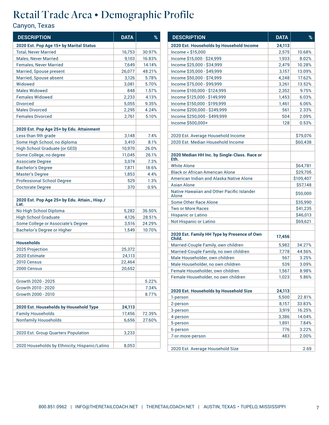| <b>DESCRIPTION</b>                                                              | <b>DATA</b> | %      |
|---------------------------------------------------------------------------------|-------------|--------|
| 2020 Est. Pop Age 15+ by Marital Status                                         |             |        |
| <b>Total, Never Married</b>                                                     | 16,753      | 30.97% |
| <b>Males, Never Married</b>                                                     | 9,103       | 16.83% |
| <b>Females, Never Married</b>                                                   | 7,649       | 14.14% |
| Married, Spouse present                                                         | 26,077      | 48.21% |
| Married, Spouse absent                                                          | 3,126       | 5.78%  |
| Widowed                                                                         | 3,081       | 5.70%  |
| <b>Males Widowed</b>                                                            | 848         | 1.57%  |
| <b>Females Widowed</b>                                                          | 2,233       | 4.13%  |
| <b>Divorced</b>                                                                 | 5,055       | 9.35%  |
| <b>Males Divorced</b>                                                           | 2,295       | 4.24%  |
| <b>Females Divorced</b>                                                         | 2,761       | 5.10%  |
|                                                                                 |             |        |
| 2020 Est. Pop Age 25+ by Edu. Attainment                                        |             |        |
| Less than 9th grade                                                             | 3,148       | 7.4%   |
| Some High School, no diploma                                                    | 3,410       | 8.1%   |
| High School Graduate (or GED)                                                   | 10,970      | 26.0%  |
| Some College, no degree                                                         | 11,045      | 26.1%  |
| <b>Associate Degree</b>                                                         | 3,074       | 7.3%   |
| <b>Bachelor's Degree</b>                                                        | 7,871       | 18.6%  |
| <b>Master's Degree</b>                                                          | 1,853       | 4.4%   |
| <b>Professional School Degree</b>                                               | 529         | 1.3%   |
| Doctorate Degree                                                                | 370         | 0.9%   |
| 2020 Est. Pop Age 25+ by Edu. Attain., Hisp./<br>Lat.<br>No High School Diploma | 5,282       | 36.50% |
| <b>High School Graduate</b>                                                     | 4,126       | 28.51% |
| Some College or Associate's Degree                                              | 3,516       | 24.29% |
|                                                                                 |             |        |
| Bachelor's Degree or Higher                                                     | 1,549       | 10.70% |
| <b>Households</b>                                                               |             |        |
| 2025 Projection                                                                 | 25,372      |        |
| 2020 Estimate                                                                   | 24,113      |        |
| 2010 Census                                                                     | 22,464      |        |
| 2000 Census                                                                     | 20,652      |        |
|                                                                                 |             |        |
| Growth 2020 - 2025                                                              |             | 5.22%  |
| Growth 2010 - 2020                                                              |             | 7.34%  |
| Growth 2000 - 2010                                                              |             | 8.77%  |
|                                                                                 |             |        |
| 2020 Est. Households by Household Type                                          | 24,113      |        |
| <b>Family Households</b>                                                        | 17,456      | 72.39% |
| <b>Nonfamily Households</b>                                                     | 6,656       | 27.60% |
|                                                                                 |             |        |
| 2020 Est. Group Quarters Population                                             | 3,233       |        |
| 2020 Households by Ethnicity, Hispanic/Latino                                   | 8,053       |        |

| <b>DESCRIPTION</b>                                    | <b>DATA</b> | %         |
|-------------------------------------------------------|-------------|-----------|
| 2020 Est. Households by Household Income              | 24,113      |           |
| Income < \$15,000                                     | 2,575       | 10.68%    |
| Income \$15,000 - \$24,999                            | 1,933       | 8.02%     |
| Income \$25,000 - \$34,999                            | 2,479       | 10.28%    |
| Income \$35,000 - \$49,999                            | 3,157       | 13.09%    |
| Income \$50,000 - \$74,999                            | 4,248       | 17.62%    |
| Income \$75,000 - \$99,999                            | 3,261       | 13.52%    |
| Income \$100,000 - \$124,999                          | 2.352       | 9.75%     |
| Income \$125,000 - \$149,999                          | 1,453       | 6.03%     |
| Income \$150,000 - \$199,999                          | 1,461       | 6.06%     |
| Income \$200,000 - \$249,999                          | 561         | 2.33%     |
| Income \$250,000 - \$499,999                          | 504         | 2.09%     |
| Income \$500,000+                                     | 128         | 0.53%     |
|                                                       |             |           |
| 2020 Est. Average Household Income                    |             | \$79,076  |
| 2020 Est. Median Household Income                     |             | \$60,438  |
| 2020 Median HH Inc. by Single-Class. Race or<br>Eth.  |             |           |
| <b>White Alone</b>                                    |             | \$64,781  |
| <b>Black or African American Alone</b>                |             | \$29,705  |
| American Indian and Alaska Native Alone               |             | \$109.407 |
| Asian Alone                                           |             | \$57,148  |
| Native Hawaiian and Other Pacific Islander<br>Alone   |             | \$50,000  |
| Some Other Race Alone                                 |             | \$35,990  |
| <b>Two or More Races</b>                              |             | \$41,235  |
| <b>Hispanic or Latino</b>                             |             | \$46,013  |
| Not Hispanic or Latino                                |             | \$69,621  |
| 2020 Est. Family HH Type by Presence of Own<br>Child. | 17,456      |           |
| Married-Couple Family, own children                   | 5,982       | 34.27%    |
| Married-Couple Family, no own children                | 7,778       | 44.56%    |
| Male Householder, own children                        | 567         | 3.25%     |
| Male Householder, no own children                     | 539         | 3.09%     |
| Female Householder, own children                      | 1,567       | 8.98%     |
| Female Householder, no own children                   | 1,023       | 5.86%     |
|                                                       |             |           |
| 2020 Est. Households by Household Size                | 24,113      |           |
| 1-person                                              | 5,500       | 22.81%    |
| 2-person                                              | 8,157       | 33.83%    |
| 3-person                                              | 3,919       | 16.25%    |
| 4-person                                              | 3,386       | 14.04%    |
| 5-person                                              | 1,891       | 7.84%     |
| 6-person                                              | 776         | 3.22%     |
| 7-or-more-person                                      | 483         | 2.00%     |
| 2020 Est. Average Household Size                      |             | 2.69      |
|                                                       |             |           |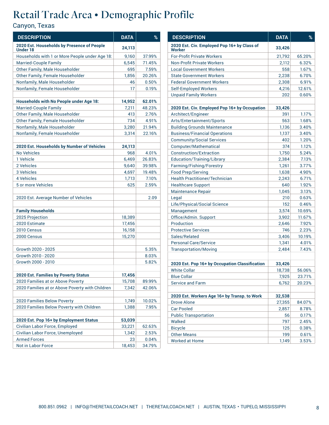| <b>DESCRIPTION</b>                                            | <b>DATA</b>      | %      |
|---------------------------------------------------------------|------------------|--------|
| 2020 Est. Households by Presence of People<br><b>Under 18</b> | 24,113           |        |
| Households with 1 or More People under Age 18:                | 9,160            | 37.99% |
| <b>Married-Couple Family</b>                                  | 6,545            | 71.45% |
| Other Family, Male Householder                                | 695              | 7.59%  |
| Other Family, Female Householder                              | 1,856            | 20.26% |
| Nonfamily, Male Householder                                   | 46               | 0.50%  |
| Nonfamily, Female Householder                                 | 17               | 0.19%  |
|                                                               |                  |        |
| Households with No People under Age 18:                       | 14,952           | 62.01% |
| <b>Married-Couple Family</b>                                  | 7,211            | 48.23% |
| Other Family, Male Householder                                | 413              | 2.76%  |
| Other Family, Female Householder                              | 734              | 4.91%  |
| Nonfamily, Male Householder                                   | 3,280            | 21.94% |
| Nonfamily, Female Householder                                 | 3,314            | 22.16% |
|                                                               |                  |        |
| 2020 Est. Households by Number of Vehicles                    | 24,113           |        |
| <b>No Vehicles</b>                                            | 968              | 4.01%  |
| 1 Vehicle                                                     | 6,469            | 26.83% |
| 2 Vehicles                                                    | 9,640            | 39.98% |
| 3 Vehicles                                                    | 4,697            | 19.48% |
| <b>4 Vehicles</b>                                             | 1,713            | 7.10%  |
| 5 or more Vehicles                                            | 625              | 2.59%  |
|                                                               |                  |        |
| 2020 Est. Average Number of Vehicles                          |                  | 2.09   |
| <b>Family Households</b>                                      |                  |        |
| 2025 Projection                                               | 18,389           |        |
| 2020 Estimate                                                 | 17,456           |        |
| 2010 Census                                                   | 16,158           |        |
| 2000 Census                                                   | 15,270           |        |
|                                                               |                  |        |
| Growth 2020 - 2025                                            |                  | 5.35%  |
| Growth 2010 - 2020                                            |                  | 8.03%  |
| Growth 2000 - 2010                                            |                  | 5.82%  |
|                                                               |                  |        |
| 2020 Est. Families by Poverty Status                          | 17,456<br>15,708 |        |
| 2020 Families at or Above Poverty                             |                  | 89.99% |
| 2020 Families at or Above Poverty with Children               | 7,342            | 42.06% |
| 2020 Families Below Poverty                                   | 1,749            | 10.02% |
| 2020 Families Below Poverty with Children                     | 1,388            | 7.95%  |
|                                                               |                  |        |
| 2020 Est. Pop 16+ by Employment Status                        | 53,039           |        |
| Civilian Labor Force, Employed                                | 33,221           | 62.63% |
| Civilian Labor Force, Unemployed                              | 1,342            | 2.53%  |
| <b>Armed Forces</b>                                           | 23               | 0.04%  |
| Not in Labor Force                                            | 18,453           | 34.79% |

| <b>DESCRIPTION</b>                                    | <b>DATA</b> | $\frac{9}{6}$ |
|-------------------------------------------------------|-------------|---------------|
| 2020 Est. Civ. Employed Pop 16+ by Class of<br>Worker | 33,426      |               |
| <b>For-Profit Private Workers</b>                     | 21,792      | 65.20%        |
| <b>Non-Profit Private Workers</b>                     | 2,112       | 6.32%         |
| <b>Local Government Workers</b>                       | 558         | 1.67%         |
| <b>State Government Workers</b>                       | 2,238       | 6.70%         |
| <b>Federal Government Workers</b>                     | 2,308       | 6.91%         |
| Self-Employed Workers                                 | 4,216       | 12.61%        |
| <b>Unpaid Family Workers</b>                          | 202         | 0.60%         |
|                                                       |             |               |
| 2020 Est. Civ. Employed Pop 16+ by Occupation         | 33,426      |               |
| Architect/Engineer                                    | 391         | 1.17%         |
| Arts/Entertainment/Sports                             | 563         | 1.68%         |
| <b>Building Grounds Maintenance</b>                   | 1,136       | 3.40%         |
| <b>Business/Financial Operations</b>                  | 1,137       | 3.40%         |
| <b>Community/Social Services</b>                      | 402         | 1.20%         |
| Computer/Mathematical                                 | 374         | 1.12%         |
| Construction/Extraction                               | 1,750       | 5.24%         |
| Education/Training/Library                            | 2,384       | 7.13%         |
| Farming/Fishing/Forestry                              | 1,261       | 3.77%         |
| <b>Food Prep/Serving</b>                              | 1,638       | 4.90%         |
| <b>Health Practitioner/Technician</b>                 | 2,243       | 6.71%         |
| <b>Healthcare Support</b>                             | 640         | 1.92%         |
| Maintenance Repair                                    | 1,045       | 3.13%         |
| Legal                                                 | 210         | 0.63%         |
| Life/Physical/Social Science                          | 152         | 0.46%         |
| Management                                            | 3,574       | 10.69%        |
| Office/Admin. Support                                 | 3,902       | 11.67%        |
| Production                                            | 2,646       | 7.92%         |
| <b>Protective Services</b>                            | 746         | 2.23%         |
| Sales/Related                                         | 3,406       | 10.19%        |
| <b>Personal Care/Service</b>                          | 1,341       | 4.01%         |
| <b>Transportation/Moving</b>                          | 2,484       | 7.43%         |
| 2020 Est. Pop 16+ by Occupation Classification        | 33,426      |               |
| <b>White Collar</b>                                   | 18,738      | 56.06%        |
| <b>Blue Collar</b>                                    | 7,925       | 23.71%        |
| <b>Service and Farm</b>                               | 6,762       | 20.23%        |
|                                                       |             |               |
| 2020 Est. Workers Age 16+ by Transp. to Work          | 32,538      |               |
| <b>Drove Alone</b>                                    | 27,355      | 84.07%        |
| <b>Car Pooled</b>                                     | 2,857       | 8.78%         |
| <b>Public Transportation</b>                          | 56          | 0.17%         |
| Walked                                                | 797         | 2.45%         |
| <b>Bicycle</b>                                        | 125         | 0.38%         |
| <b>Other Means</b>                                    | 199         | 0.61%         |
| <b>Worked at Home</b>                                 | 1,149       | 3.53%         |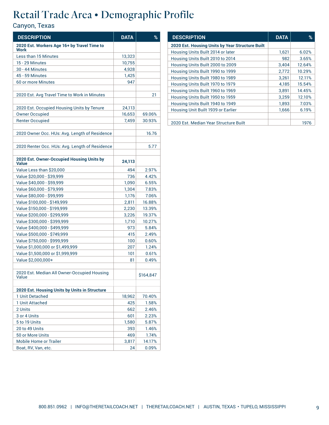| <b>DESCRIPTION</b>                                        | <b>DATA</b> | %         |
|-----------------------------------------------------------|-------------|-----------|
| 2020 Est. Workers Age 16+ by Travel Time to<br>Work       |             |           |
| Less than 15 Minutes                                      | 13,323      |           |
| <b>15 - 29 Minutes</b>                                    | 10,755      |           |
| <b>30 - 44 Minutes</b>                                    | 4,928       |           |
| 45 - 59 Minutes                                           | 1,425       |           |
| 60 or more Minutes                                        | 947         |           |
| 2020 Est. Avg Travel Time to Work in Minutes              |             | 21        |
|                                                           |             |           |
| 2020 Est. Occupied Housing Units by Tenure                | 24,113      |           |
| <b>Owner Occupied</b>                                     | 16,653      | 69.06%    |
| <b>Renter Occupied</b>                                    | 7,459       | 30.93%    |
| 2020 Owner Occ. HUs: Avg. Length of Residence             |             | 16.76     |
| 2020 Renter Occ. HUs: Avg. Length of Residence            |             | 5.77      |
| 2020 Est. Owner-Occupied Housing Units by<br><b>Value</b> | 24,113      |           |
| Value Less than \$20,000                                  | 494         | 2.97%     |
| Value \$20,000 - \$39,999                                 | 736         | 4.42%     |
| Value \$40,000 - \$59,999                                 | 1,090       | 6.55%     |
| Value \$60,000 - \$79,999                                 | 1,304       | 7.83%     |
| Value \$80,000 - \$99,999                                 | 1,176       | 7.06%     |
| Value \$100,000 - \$149,999                               | 2,811       | 16.88%    |
| Value \$150,000 - \$199,999                               | 2,230       | 13.39%    |
| Value \$200,000 - \$299,999                               | 3,226       | 19.37%    |
| Value \$300,000 - \$399,999                               | 1,710       | 10.27%    |
| Value \$400,000 - \$499,999                               | 973         | 5.84%     |
| Value \$500,000 - \$749,999                               | 415         | 2.49%     |
| Value \$750,000 - \$999,999                               | 100         | 0.60%     |
| Value \$1,000,000 or \$1,499,999                          | 207         | 1.24%     |
| Value \$1,500,000 or \$1,999,999                          | 101         | 0.61%     |
| Value \$2,000,000+                                        | 81          | 0.49%     |
| 2020 Est. Median All Owner-Occupied Housing<br>Value      |             | \$164,847 |
| 2020 Est. Housing Units by Units in Structure             |             |           |
| 1 Unit Detached                                           | 18,962      | 70.40%    |
| 1 Unit Attached                                           | 425         | 1.58%     |
| 2 Units                                                   | 662         | 2.46%     |
| 3 or 4 Units                                              | 601         | 2.23%     |
| 5 to 19 Units                                             | 1,580       | 5.87%     |
| 20 to 49 Units                                            | 393         | 1.46%     |
| 50 or More Units                                          | 469         | 1.74%     |
| <b>Mobile Home or Trailer</b>                             | 3,817       | 14.17%    |
| Boat, RV, Van, etc.                                       | 24          | 0.09%     |

| <b>DESCRIPTION</b>                              | <b>DATA</b> | ℅      |
|-------------------------------------------------|-------------|--------|
| 2020 Est. Housing Units by Year Structure Built |             |        |
| Housing Units Built 2014 or later               | 1,621       | 6.02%  |
| Housing Units Built 2010 to 2014                | 982         | 3.65%  |
| Housing Units Built 2000 to 2009                | 3,404       | 12.64% |
| Housing Units Built 1990 to 1999                | 2,772       | 10.29% |
| Housing Units Built 1980 to 1989                | 3,261       | 12.11% |
| Housing Units Built 1970 to 1979                | 4,185       | 15.54% |
| Housing Units Built 1960 to 1969                | 3.891       | 14.45% |
| Housing Units Built 1950 to 1959                | 3,259       | 12.10% |
| Housing Units Built 1940 to 1949                | 1,893       | 7.03%  |
| Housing Unit Built 1939 or Earlier              | 1,666       | 6.19%  |
|                                                 |             |        |
| 2020 Est. Median Year Structure Built           |             | 1976   |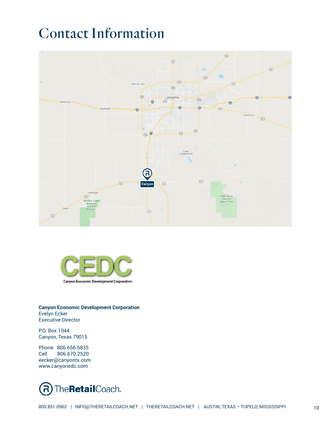# Contact Information





**Canyon Economic Development Corporation** Evelyn Ecker Executive Director

P.O. Box 1044 Canyon, Texas 79015

Phone 806.656.6835 Cell 806.670.2520 eecker@canyontx.com www.canyonedc.com

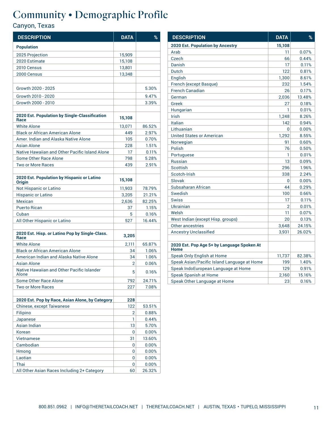| <b>DESCRIPTION</b>                                          | <b>DATA</b> | %      |
|-------------------------------------------------------------|-------------|--------|
| <b>Population</b>                                           |             |        |
| 2025 Projection                                             | 15,909      |        |
| 2020 Estimate                                               | 15,108      |        |
| 2010 Census                                                 | 13,801      |        |
| 2000 Census                                                 | 13,348      |        |
|                                                             |             |        |
| Growth 2020 - 2025                                          |             | 5.30%  |
| Growth 2010 - 2020                                          |             | 9.47%  |
| Growth 2000 - 2010                                          |             | 3.39%  |
|                                                             |             |        |
| 2020 Est. Population by Single-Classification<br>Race       | 15,108      |        |
| <b>White Alone</b>                                          | 13,071      | 86.52% |
| <b>Black or African American Alone</b>                      | 449         | 2.97%  |
| Amer, Indian and Alaska Native Alone                        | 105         | 0.70%  |
| Asian Alone                                                 | 228         | 1.51%  |
| Native Hawaiian and Other Pacific Island Alone              | 17          | 0.11%  |
| Some Other Race Alone                                       | 798         | 5.28%  |
| <b>Two or More Races</b>                                    | 439         | 2.91%  |
|                                                             |             |        |
| 2020 Est. Population by Hispanic or Latino<br><b>Origin</b> | 15,108      |        |
| Not Hispanic or Latino                                      | 11,903      | 78.79% |
| <b>Hispanic or Latino</b>                                   | 3,205       | 21.21% |
| Mexican                                                     | 2,636       | 82.25% |
| <b>Puerto Rican</b>                                         | 37          | 1.15%  |
| Cuban                                                       | 5           | 0.16%  |
| All Other Hispanic or Latino                                | 527         | 16.44% |
|                                                             |             |        |
| 2020 Est. Hisp. or Latino Pop by Single-Class.<br>Race      | 3,205       |        |
| <b>White Alone</b>                                          | 2,111       | 65.87% |
| <b>Black or African American Alone</b>                      | 34          | 1.06%  |
| American Indian and Alaska Native Alone                     | 34          | 1.06%  |
| Asian Alone                                                 | 2           | 0.06%  |
| Native Hawaiian and Other Pacific Islander<br>Alone         | 5           | 0.16%  |
| Some Other Race Alone                                       | 792         | 24.71% |
| <b>Two or More Races</b>                                    | 227         | 7.08%  |
|                                                             |             |        |
| 2020 Est. Pop by Race, Asian Alone, by Category             | 228         |        |
| <b>Chinese, except Taiwanese</b>                            | 122         | 53.51% |
| Filipino                                                    | 2           | 0.88%  |
| Japanese                                                    | 1           | 0.44%  |
| Asian Indian                                                | 13          | 5.70%  |
| Korean                                                      | 0           | 0.00%  |
| <b>Vietnamese</b>                                           | 31          | 13.60% |
| Cambodian                                                   | 0           | 0.00%  |
| Hmong                                                       | 0           | 0.00%  |
| Laotian                                                     | 0           | 0.00%  |
| Thai                                                        | 0           | 0.00%  |
| All Other Asian Races Including 2+ Category                 | 60          | 26.32% |

| <b>DESCRIPTION</b>                                 | <b>DATA</b> | %      |
|----------------------------------------------------|-------------|--------|
| <b>2020 Est. Population by Ancestry</b>            | 15,108      |        |
| Arab                                               | 11          | 0.07%  |
| Czech                                              | 66          | 0.44%  |
| Danish                                             | 17          | 0.11%  |
| Dutch                                              | 122         | 0.81%  |
| English                                            | 1,300       | 8.61%  |
| French (except Basque)                             | 232         | 1.54%  |
| <b>French Canadian</b>                             | 26          | 0.17%  |
| German                                             | 2,036       | 13.48% |
| Greek                                              | 27          | 0.18%  |
| Hungarian                                          | 1           | 0.01%  |
| Irish                                              | 1,248       | 8.26%  |
| Italian                                            | 142         | 0.94%  |
| Lithuanian                                         | 0           | 0.00%  |
| <b>United States or American</b>                   | 1,292       | 8.55%  |
| Norwegian                                          | 91          | 0.60%  |
| Polish                                             | 76          | 0.50%  |
| Portuguese                                         | 1           | 0.01%  |
| <b>Russian</b>                                     | 13          | 0.09%  |
| Scottish                                           | 296         | 1.96%  |
| Scotch-Irish                                       | 338         | 2.24%  |
| Slovak                                             | 0           | 0.00%  |
| Subsaharan African                                 | 44          | 0.29%  |
| Swedish                                            | 100         | 0.66%  |
| <b>Swiss</b>                                       | 17          | 0.11%  |
| Ukrainian                                          | 2           | 0.01%  |
| Welsh                                              | 11          | 0.07%  |
| West Indian (except Hisp. groups)                  | 20          | 0.13%  |
| Other ancestries                                   | 3,648       | 24.15% |
| <b>Ancestry Unclassified</b>                       | 3,931       | 26.02% |
|                                                    |             |        |
| 2020 Est. Pop Age 5+ by Language Spoken At<br>Home |             |        |
| Speak Only English at Home                         | 11,737      | 82.38% |
| Speak Asian/Pacific Island Language at Home        | 199         | 1.40%  |
| Speak IndoEuropean Language at Home                | 129         | 0.91%  |
| Speak Spanish at Home                              | 2,160       | 15.16% |
| Speak Other Language at Home                       | 23          | 0.16%  |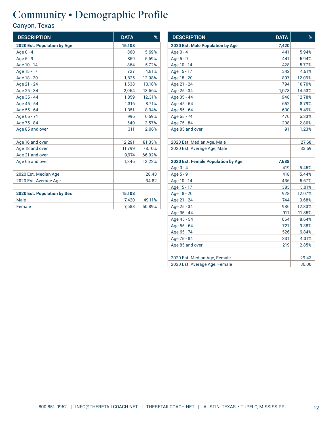| <b>DESCRIPTION</b>                 | <b>DATA</b> | $\%$   |
|------------------------------------|-------------|--------|
| 2020 Est. Population by Age        | 15,108      |        |
| Age 0 - 4                          | 860         | 5.69%  |
| Age 5 - 9                          | 859         | 5.69%  |
| Age 10 - 14                        | 864         | 5.72%  |
| Age 15 - 17                        | 727         | 4.81%  |
| Age 18 - 20                        | 1,825       | 12.08% |
| Age 21 - 24                        | 1,538       | 10.18% |
| Age 25 - 34                        | 2,064       | 13.66% |
| Age 35 - 44                        | 1,859       | 12.31% |
| Age 45 - 54                        | 1,316       | 8.71%  |
| Age 55 - 64                        | 1,351       | 8.94%  |
| Age 65 - 74                        | 996         | 6.59%  |
| Age 75 - 84                        | 540         | 3.57%  |
| Age 85 and over                    | 311         | 2.06%  |
|                                    |             |        |
| Age 16 and over                    | 12,291      | 81.35% |
| Age 18 and over                    | 11,799      | 78.10% |
| Age 21 and over                    | 9.974       | 66.02% |
| Age 65 and over                    | 1,846       | 12.22% |
|                                    |             |        |
| 2020 Est. Median Age               |             | 28.48  |
| 2020 Est. Average Age              |             | 34.82  |
|                                    |             |        |
| <b>2020 Est. Population by Sex</b> | 15,108      |        |
| Male                               | 7,420       | 49.11% |
| Female                             | 7,688       | 50.89% |

| <b>DESCRIPTION</b>                 | <b>DATA</b> | %      |
|------------------------------------|-------------|--------|
| 2020 Est. Male Population by Age   | 7,420       |        |
| Age 0 - 4                          | 441         | 5.94%  |
| Age 5 - 9                          | 441         | 5.94%  |
| Age 10 - 14                        | 428         | 5.77%  |
| Age 15 - 17                        | 342         | 4.61%  |
| Age 18 - 20                        | 897         | 12.09% |
| Age 21 - 24                        | 794         | 10.70% |
| Age 25 - 34                        | 1,078       | 14.53% |
| Age 35 - 44                        | 948         | 12.78% |
| Age 45 - 54                        | 652         | 8.79%  |
| Age 55 - 64                        | 630         | 8.49%  |
| Age 65 - 74                        | 470         | 6.33%  |
| Age 75 - 84                        | 208         | 2.80%  |
| Age 85 and over                    | 91          | 1.23%  |
|                                    |             |        |
| 2020 Est. Median Age, Male         |             | 27.68  |
| 2020 Est. Average Age, Male        |             | 33.59  |
|                                    |             |        |
| 2020 Est. Female Population by Age | 7,688       |        |
| Age 0 - 4                          | 419         | 5.45%  |
| Age 5 - 9                          | 418         | 5.44%  |
| Age 10 - 14                        | 436         | 5.67%  |
| Age 15 - 17                        | 385         | 5.01%  |
| Age 18 - 20                        | 928         | 12.07% |
| Age 21 - 24                        | 744         | 9.68%  |
| Age 25 - 34                        | 986         | 12.83% |
| Age 35 - 44                        | 911         | 11.85% |
| Age 45 - 54                        | 664         | 8.64%  |
| Age 55 - 64                        | 721         | 9.38%  |
| Age 65 - 74                        | 526         | 6.84%  |
| Age 75 - 84                        | 331         | 4.31%  |
| Age 85 and over                    | 219         | 2.85%  |
|                                    |             |        |
| 2020 Est. Median Age, Female       |             | 29.43  |
| 2020 Est. Average Age, Female      |             | 36.00  |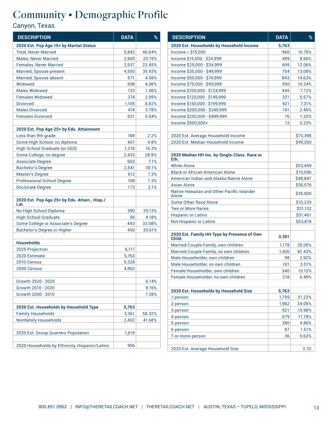| <b>DESCRIPTION</b>                                    | <b>DATA</b> | %      |
|-------------------------------------------------------|-------------|--------|
| 2020 Est. Pop Age 15+ by Marital Status               |             |        |
| <b>Total, Never Married</b>                           | 5,842       | 46.64% |
| <b>Males, Never Married</b>                           | 2,905       | 23.19% |
| <b>Females, Never Married</b>                         | 2,937       | 23.45% |
| Married, Spouse present                               | 4,500       | 35.93% |
| Married, Spouse absent                                | 571         | 4.56%  |
| Widowed                                               | 508         | 4.06%  |
| <b>Males Widowed</b>                                  | 133         | 1.06%  |
| <b>Females Widowed</b>                                | 374         | 2.99%  |
| <b>Divorced</b>                                       | 1,105       | 8.82%  |
| <b>Males Divorced</b>                                 | 474         | 3.78%  |
| <b>Females Divorced</b>                               | 631         | 5.04%  |
|                                                       |             |        |
| 2020 Est. Pop Age 25+ by Edu. Attainment              |             |        |
| Less than 9th grade                                   | 188         | 2.2%   |
| Some High School, no diploma                          | 401         | 4.8%   |
| High School Graduate (or GED)                         | 1,376       | 16.3%  |
| Some College, no degree                               | 2.433       | 28.8%  |
| Associate Degree                                      | 603         | 7.1%   |
| Bachelor's Degree                                     | 2,541       | 30.1%  |
| <b>Master's Degree</b>                                | 612         | 7.3%   |
| <b>Professional School Degree</b>                     | 108         | 1.3%   |
| Doctorate Degree                                      | 173         | 2.1%   |
| 2020 Est. Pop Age 25+ by Edu. Attain., Hisp./<br>Lat. |             |        |
| No High School Diploma                                | 390         | 29.13% |
| <b>High School Graduate</b>                           | 56          | 4.18%  |
| Some College or Associate's Degree                    | 443         | 33.08% |
| Bachelor's Degree or Higher                           | 450         | 33.61% |
|                                                       |             |        |
| <b>Households</b>                                     |             |        |
| 2025 Projection                                       | 6,117       |        |
| 2020 Estimate                                         | 5,763       |        |
| 2010 Census                                           | 5,328       |        |
| 2000 Census                                           | 4,962       |        |
| Growth 2020 - 2025                                    |             | 6.14%  |
| Growth 2010 - 2020                                    |             | 8.16%  |
| Growth 2000 - 2010                                    |             | 7.38%  |
|                                                       |             |        |
| 2020 Est. Households by Household Type                | 5,763       |        |
| <b>Family Households</b>                              | 3,361       | 58.32% |
| <b>Nonfamily Households</b>                           | 2,402       | 41.68% |
|                                                       |             |        |
| 2020 Est. Group Quarters Population                   | 1,619       |        |
| 2020 Households by Ethnicity, Hispanic/Latino         | 956         |        |
|                                                       |             |        |

| <b>DESCRIPTION</b>                                    | <b>DATA</b> | %              |
|-------------------------------------------------------|-------------|----------------|
| 2020 Est. Households by Household Income              | 5,763       |                |
| Income < \$15,000                                     | 966         | 16.76%         |
| Income \$15,000 - \$24,999                            | 499         | 8.66%          |
| Income \$25,000 - \$34,999                            | 695         | 12.06%         |
| Income \$35,000 - \$49,999                            | 754         | 13.08%         |
| Income \$50,000 - \$74,999                            | 843         | 14.63%         |
| Income \$75,000 - \$99,999                            | 590         | 10.24%         |
| Income \$100,000 - \$124,999                          | 445         | 7.72%          |
| Income \$125,000 - \$149,999                          | 321         | 5.57%          |
| Income \$150,000 - \$199,999                          | 421         | 7.31%          |
| Income \$200,000 - \$249,999                          | 141         | 2.45%          |
| Income \$250,000 - \$499,999                          | 76          | 1.32%          |
| Income \$500,000+                                     | 13          | 0.23%          |
|                                                       |             |                |
| 2020 Est. Average Household Income                    |             | \$70,398       |
| 2020 Est. Median Household Income                     |             | \$49,260       |
| 2020 Median HH Inc. by Single-Class. Race or<br>Eth.  |             |                |
| <b>White Alone</b>                                    |             | \$53,459       |
| <b>Black or African American Alone</b>                |             | \$10,096       |
| American Indian and Alaska Native Alone               |             | \$48.847       |
| Asian Alone                                           |             | \$30,576       |
| Native Hawaiian and Other Pacific Islander<br>Alone   |             | \$35,000       |
| Some Other Race Alone                                 |             | \$10,229       |
| <b>Two or More Races</b>                              |             | \$31,132       |
| <b>Hispanic or Latino</b>                             |             | \$31,461       |
| Not Hispanic or Latino                                |             | \$53,874       |
| 2020 Est. Family HH Type by Presence of Own<br>Child. | 3,361       |                |
| Married-Couple Family, own children                   | 1,178       | 35.05%         |
| Married-Couple Family, no own children                | 1,426       | 42.43%         |
| Male Householder, own children                        | 98          | 2.92%          |
| Male Householder, no own children                     | 101         | 3.01%          |
| Female Householder, own children                      | 340         | 10.12%         |
| Female Householder, no own children                   | 218         | 6.49%          |
|                                                       |             |                |
| 2020 Est. Households by Household Size                | 5,763       |                |
| 1-person                                              | 1,799       | 31.22%         |
| 2-person                                              | 1,962       | 34.05%         |
| 3-person                                              | 921<br>679  | 15.98%         |
| 4-person                                              |             | 11.78%         |
| 5-person                                              | 280<br>87   | 4.86%          |
| 6-person<br>7-or-more-person                          | 36          | 1.51%<br>0.63% |
|                                                       |             |                |
| 2020 Est. Average Household Size                      |             | 2.32           |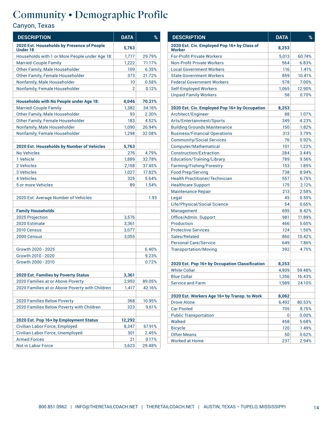| <b>DESCRIPTION</b>                                            | <b>DATA</b>    | %      |
|---------------------------------------------------------------|----------------|--------|
| 2020 Est. Households by Presence of People<br><b>Under 18</b> | 5,763          |        |
| Households with 1 or More People under Age 18:                | 1,717          | 29.79% |
| <b>Married-Couple Family</b>                                  | 1,222          | 71.17% |
| Other Family, Male Householder                                | 109            | 6.35%  |
| Other Family, Female Householder                              | 373            | 21.72% |
| Nonfamily, Male Householder                                   | 10             | 0.58%  |
| Nonfamily, Female Householder                                 | $\overline{2}$ | 0.12%  |
| Households with No People under Age 18:                       | 4,046          | 70.21% |
| <b>Married-Couple Family</b>                                  | 1,382          | 34.16% |
| Other Family, Male Householder                                | 93             | 2.30%  |
| Other Family, Female Householder                              | 183            | 4.52%  |
| Nonfamily, Male Householder                                   | 1,090          | 26.94% |
| Nonfamily, Female Householder                                 | 1,298          | 32.08% |
| 2020 Est. Households by Number of Vehicles                    | 5,763          |        |
| No Vehicles                                                   | 276            | 4.79%  |
| 1 Vehicle                                                     | 1,889          | 32.78% |
| 2 Vehicles                                                    | 2,158          | 37.45% |
| 3 Vehicles                                                    | 1,027          | 17.82% |
| 4 Vehicles                                                    | 325            | 5.64%  |
| 5 or more Vehicles                                            | 89             | 1.54%  |
| 2020 Est. Average Number of Vehicles                          |                | 1.93   |
| <b>Family Households</b>                                      |                |        |
| 2025 Projection                                               | 3,576          |        |
| 2020 Estimate                                                 | 3,361          |        |
| 2010 Census                                                   | 3,077          |        |
| 2000 Census                                                   | 3,055          |        |
| Growth 2020 - 2025                                            |                | 6.40%  |
| Growth 2010 - 2020                                            |                | 9.23%  |
| Growth 2000 - 2010                                            |                | 0.72%  |
| 2020 Est. Families by Poverty Status                          | 3,361          |        |
| 2020 Families at or Above Poverty                             | 2,993          | 89.05% |
| 2020 Families at or Above Poverty with Children               | 1,417          | 42.16% |
| 2020 Families Below Poverty                                   | 368            | 10.95% |
| 2020 Families Below Poverty with Children                     | 323            | 9.61%  |
| 2020 Est. Pop 16+ by Employment Status                        | 12,292         |        |
| Civilian Labor Force, Employed                                | 8,347          | 67.91% |
| Civilian Labor Force, Unemployed                              | 301            | 2.45%  |
| <b>Armed Forces</b>                                           | 21             | 0.17%  |
| Not in Labor Force                                            | 3,623          | 29.48% |

| <b>DESCRIPTION</b>                                    | <b>DATA</b> | %      |
|-------------------------------------------------------|-------------|--------|
| 2020 Est. Civ. Employed Pop 16+ by Class of<br>Worker | 8,253       |        |
| <b>For-Profit Private Workers</b>                     | 5,013       | 60.74% |
| <b>Non-Profit Private Workers</b>                     | 564         | 6.83%  |
| <b>Local Government Workers</b>                       | 116         | 1.41%  |
| <b>State Government Workers</b>                       | 859         | 10.41% |
| <b>Federal Government Workers</b>                     | 578         | 7.00%  |
| <b>Self-Employed Workers</b>                          | 1,065       | 12.90% |
| <b>Unpaid Family Workers</b>                          | 58          | 0.70%  |
|                                                       |             |        |
| 2020 Est. Civ. Employed Pop 16+ by Occupation         | 8,253       |        |
| Architect/Engineer                                    | 88          | 1.07%  |
| Arts/Entertainment/Sports                             | 349         | 4.23%  |
| <b>Building Grounds Maintenance</b>                   | 150         | 1.82%  |
| <b>Business/Financial Operations</b>                  | 313         | 3.79%  |
| <b>Community/Social Services</b>                      | 76          | 0.92%  |
| Computer/Mathematical                                 | 101         | 1.22%  |
| Construction/Extraction                               | 284         | 3.44%  |
| Education/Training/Library                            | 789         | 9.56%  |
| Farming/Fishing/Forestry                              | 153         | 1.85%  |
| <b>Food Prep/Serving</b>                              | 738         | 8.94%  |
| <b>Health Practitioner/Technician</b>                 | 557         | 6.75%  |
| <b>Healthcare Support</b>                             | 175         | 2.12%  |
| <b>Maintenance Repair</b>                             | 213         | 2.58%  |
| Legal                                                 | 45          | 0.55%  |
| Life/Physical/Social Science                          | 54          | 0.65%  |
| Management                                            | 695         | 8.42%  |
| Office/Admin. Support                                 | 981         | 11.89% |
| Production                                            | 466         | 5.65%  |
| <b>Protective Services</b>                            | 124         | 1.50%  |
| Sales/Related                                         | 860         | 10.42% |
| <b>Personal Care/Service</b>                          | 649         | 7.86%  |
| <b>Transportation/Moving</b>                          | 392         | 4.75%  |
|                                                       |             |        |
| 2020 Est. Pop 16+ by Occupation Classification        | 8,253       |        |
| <b>White Collar</b>                                   | 4.909       | 59.48% |
| <b>Blue Collar</b>                                    | 1,356       | 16.43% |
| <b>Service and Farm</b>                               | 1,989       | 24.10% |
|                                                       |             |        |
| 2020 Est. Workers Age 16+ by Transp. to Work          | 8,062       |        |
| <b>Drove Alone</b>                                    | 6,492       | 80.53% |
| <b>Car Pooled</b>                                     | 705         | 8.75%  |
| <b>Public Transportation</b>                          | 0           | 0.00%  |
| Walked                                                | 458         | 5.68%  |
| <b>Bicycle</b>                                        | 120         | 1.49%  |
| <b>Other Means</b>                                    | 50          | 0.62%  |
| <b>Worked at Home</b>                                 | 237         | 2.94%  |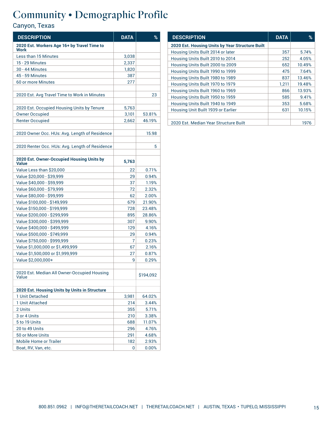| <b>DESCRIPTION</b>                                   | <b>DATA</b>    | %         |
|------------------------------------------------------|----------------|-----------|
| 2020 Est. Workers Age 16+ by Travel Time to<br>Work  |                |           |
| Less than 15 Minutes                                 | 3,038          |           |
| <b>15 - 29 Minutes</b>                               | 2,337          |           |
| <b>30 - 44 Minutes</b>                               | 1,820          |           |
| 45 - 59 Minutes                                      | 387            |           |
| 60 or more Minutes                                   | 277            |           |
|                                                      |                |           |
| 2020 Est. Avg Travel Time to Work in Minutes         |                | 23        |
| 2020 Est. Occupied Housing Units by Tenure           | 5,763          |           |
| <b>Owner Occupied</b>                                | 3,101          | 53.81%    |
| <b>Renter Occupied</b>                               | 2,662          | 46.19%    |
|                                                      |                |           |
| 2020 Owner Occ. HUs: Avg. Length of Residence        |                | 15.98     |
| 2020 Renter Occ. HUs: Avg. Length of Residence       |                | 5         |
| 2020 Est. Owner-Occupied Housing Units by<br>Value   | 5,763          |           |
| Value Less than \$20,000                             | 22             | 0.71%     |
| Value \$20,000 - \$39,999                            | 29             | 0.94%     |
| Value \$40,000 - \$59,999                            | 37             | 1.19%     |
| Value \$60,000 - \$79,999                            | 72             | 2.32%     |
| Value \$80,000 - \$99,999                            | 62             | 2.00%     |
| Value \$100,000 - \$149,999                          | 679            | 21.90%    |
| Value \$150,000 - \$199,999                          | 728            | 23.48%    |
| Value \$200,000 - \$299,999                          | 895            | 28.86%    |
| Value \$300,000 - \$399,999                          | 307            | 9.90%     |
| Value \$400,000 - \$499,999                          | 129            | 4.16%     |
| Value \$500,000 - \$749,999                          | 29             | 0.94%     |
| Value \$750,000 - \$999,999                          | $\overline{7}$ | 0.23%     |
| Value \$1,000,000 or \$1,499,999                     | 67             | 2.16%     |
| Value \$1,500,000 or \$1,999,999                     | 27             | 0.87%     |
| Value \$2,000,000+                                   | 9              | 0.29%     |
|                                                      |                |           |
| 2020 Est. Median All Owner-Occupied Housing<br>Value |                | \$194,092 |
| 2020 Est. Housing Units by Units in Structure        |                |           |
| 1 Unit Detached                                      | 3,981          | 64.02%    |
| 1 Unit Attached                                      | 214            | 3.44%     |
| 2 Units                                              | 355            | 5.71%     |
| 3 or 4 Units                                         | 210            | 3.38%     |
| 5 to 19 Units                                        | 688            | 11.07%    |
| 20 to 49 Units                                       | 296            | 4.76%     |
| 50 or More Units                                     | 291            | 4.68%     |
| <b>Mobile Home or Trailer</b>                        | 182            | 2.93%     |
| Boat, RV, Van, etc.                                  | 0              | 0.00%     |

| <b>DESCRIPTION</b>                              | <b>DATA</b> | ℅      |
|-------------------------------------------------|-------------|--------|
| 2020 Est. Housing Units by Year Structure Built |             |        |
| Housing Units Built 2014 or later               | 357         | 5.74%  |
| Housing Units Built 2010 to 2014                | 252         | 4.05%  |
| Housing Units Built 2000 to 2009                | 652         | 10.49% |
| Housing Units Built 1990 to 1999                | 475         | 7.64%  |
| Housing Units Built 1980 to 1989                | 837         | 13.46% |
| Housing Units Built 1970 to 1979                | 1,211       | 19.48% |
| Housing Units Built 1960 to 1969                | 866         | 13.93% |
| Housing Units Built 1950 to 1959                | 585         | 9.41%  |
| Housing Units Built 1940 to 1949                | 353         | 5.68%  |
| Housing Unit Built 1939 or Earlier              | 631         | 10.15% |
|                                                 |             |        |
| 2020 Est. Median Year Structure Built           |             | 1976   |